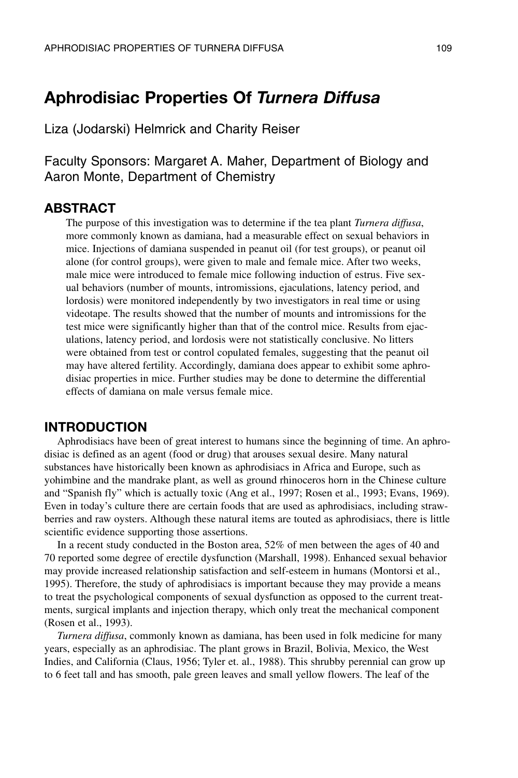# **Aphrodisiac Properties Of** *Turnera Diffusa*

Liza (Jodarski) Helmrick and Charity Reiser

Faculty Sponsors: Margaret A. Maher, Department of Biology and Aaron Monte, Department of Chemistry

### **ABSTRACT**

The purpose of this investigation was to determine if the tea plant *Turnera diffusa*, more commonly known as damiana, had a measurable effect on sexual behaviors in mice. Injections of damiana suspended in peanut oil (for test groups), or peanut oil alone (for control groups), were given to male and female mice. After two weeks, male mice were introduced to female mice following induction of estrus. Five sexual behaviors (number of mounts, intromissions, ejaculations, latency period, and lordosis) were monitored independently by two investigators in real time or using videotape. The results showed that the number of mounts and intromissions for the test mice were significantly higher than that of the control mice. Results from ejaculations, latency period, and lordosis were not statistically conclusive. No litters were obtained from test or control copulated females, suggesting that the peanut oil may have altered fertility. Accordingly, damiana does appear to exhibit some aphrodisiac properties in mice. Further studies may be done to determine the differential effects of damiana on male versus female mice.

### **INTRODUCTION**

Aphrodisiacs have been of great interest to humans since the beginning of time. An aphrodisiac is defined as an agent (food or drug) that arouses sexual desire. Many natural substances have historically been known as aphrodisiacs in Africa and Europe, such as yohimbine and the mandrake plant, as well as ground rhinoceros horn in the Chinese culture and "Spanish fly" which is actually toxic (Ang et al., 1997; Rosen et al., 1993; Evans, 1969). Even in today's culture there are certain foods that are used as aphrodisiacs, including strawberries and raw oysters. Although these natural items are touted as aphrodisiacs, there is little scientific evidence supporting those assertions.

In a recent study conducted in the Boston area, 52% of men between the ages of 40 and 70 reported some degree of erectile dysfunction (Marshall, 1998). Enhanced sexual behavior may provide increased relationship satisfaction and self-esteem in humans (Montorsi et al., 1995). Therefore, the study of aphrodisiacs is important because they may provide a means to treat the psychological components of sexual dysfunction as opposed to the current treatments, surgical implants and injection therapy, which only treat the mechanical component (Rosen et al., 1993).

*Turnera diffusa*, commonly known as damiana, has been used in folk medicine for many years, especially as an aphrodisiac. The plant grows in Brazil, Bolivia, Mexico, the West Indies, and California (Claus, 1956; Tyler et. al., 1988). This shrubby perennial can grow up to 6 feet tall and has smooth, pale green leaves and small yellow flowers. The leaf of the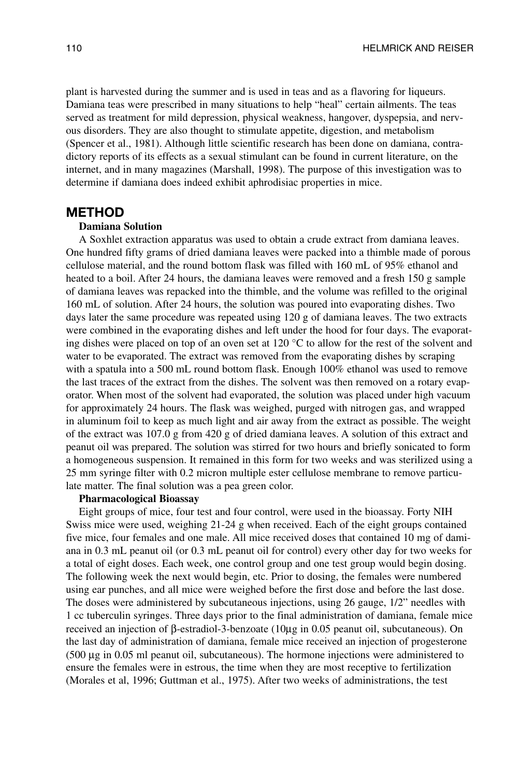plant is harvested during the summer and is used in teas and as a flavoring for liqueurs. Damiana teas were prescribed in many situations to help "heal" certain ailments. The teas served as treatment for mild depression, physical weakness, hangover, dyspepsia, and nervous disorders. They are also thought to stimulate appetite, digestion, and metabolism (Spencer et al., 1981). Although little scientific research has been done on damiana, contradictory reports of its effects as a sexual stimulant can be found in current literature, on the internet, and in many magazines (Marshall, 1998). The purpose of this investigation was to determine if damiana does indeed exhibit aphrodisiac properties in mice.

#### **METHOD**

#### **Damiana Solution**

A Soxhlet extraction apparatus was used to obtain a crude extract from damiana leaves. One hundred fifty grams of dried damiana leaves were packed into a thimble made of porous cellulose material, and the round bottom flask was filled with 160 mL of 95% ethanol and heated to a boil. After 24 hours, the damiana leaves were removed and a fresh 150 g sample of damiana leaves was repacked into the thimble, and the volume was refilled to the original 160 mL of solution. After 24 hours, the solution was poured into evaporating dishes. Two days later the same procedure was repeated using 120 g of damiana leaves. The two extracts were combined in the evaporating dishes and left under the hood for four days. The evaporating dishes were placed on top of an oven set at 120 °C to allow for the rest of the solvent and water to be evaporated. The extract was removed from the evaporating dishes by scraping with a spatula into a 500 mL round bottom flask. Enough 100% ethanol was used to remove the last traces of the extract from the dishes. The solvent was then removed on a rotary evaporator. When most of the solvent had evaporated, the solution was placed under high vacuum for approximately 24 hours. The flask was weighed, purged with nitrogen gas, and wrapped in aluminum foil to keep as much light and air away from the extract as possible. The weight of the extract was 107.0 g from 420 g of dried damiana leaves. A solution of this extract and peanut oil was prepared. The solution was stirred for two hours and briefly sonicated to form a homogeneous suspension. It remained in this form for two weeks and was sterilized using a 25 mm syringe filter with 0.2 micron multiple ester cellulose membrane to remove particulate matter. The final solution was a pea green color.

#### **Pharmacological Bioassay**

Eight groups of mice, four test and four control, were used in the bioassay. Forty NIH Swiss mice were used, weighing 21-24 g when received. Each of the eight groups contained five mice, four females and one male. All mice received doses that contained 10 mg of damiana in 0.3 mL peanut oil (or 0.3 mL peanut oil for control) every other day for two weeks for a total of eight doses. Each week, one control group and one test group would begin dosing. The following week the next would begin, etc. Prior to dosing, the females were numbered using ear punches, and all mice were weighed before the first dose and before the last dose. The doses were administered by subcutaneous injections, using 26 gauge, 1/2" needles with 1 cc tuberculin syringes. Three days prior to the final administration of damiana, female mice received an injection of β-estradiol-3-benzoate (10µg in 0.05 peanut oil, subcutaneous). On the last day of administration of damiana, female mice received an injection of progesterone (500 µg in 0.05 ml peanut oil, subcutaneous). The hormone injections were administered to ensure the females were in estrous, the time when they are most receptive to fertilization (Morales et al, 1996; Guttman et al., 1975). After two weeks of administrations, the test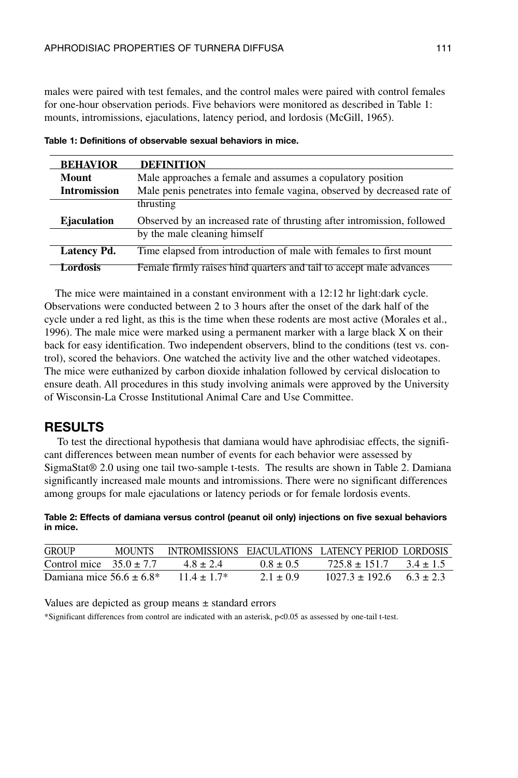males were paired with test females, and the control males were paired with control females for one-hour observation periods. Five behaviors were monitored as described in Table 1: mounts, intromissions, ejaculations, latency period, and lordosis (McGill, 1965).

| <b>BEHAVIOR</b>     | <b>DEFINITION</b>                                                       |
|---------------------|-------------------------------------------------------------------------|
| Mount               | Male approaches a female and assumes a copulatory position              |
| <b>Intromission</b> | Male penis penetrates into female vagina, observed by decreased rate of |
|                     | thrusting                                                               |
| <b>E</b> jaculation | Observed by an increased rate of thrusting after intromission, followed |
|                     | by the male cleaning himself                                            |
| <b>Latency Pd.</b>  | Time elapsed from introduction of male with females to first mount      |
| Lordosis            | Female firmly raises hind quarters and tail to accept male advances     |

| Table 1: Definitions of observable sexual behaviors in mice. |  |
|--------------------------------------------------------------|--|
|--------------------------------------------------------------|--|

The mice were maintained in a constant environment with a 12:12 hr light:dark cycle. Observations were conducted between 2 to 3 hours after the onset of the dark half of the cycle under a red light, as this is the time when these rodents are most active (Morales et al., 1996). The male mice were marked using a permanent marker with a large black X on their back for easy identification. Two independent observers, blind to the conditions (test vs. control), scored the behaviors. One watched the activity live and the other watched videotapes. The mice were euthanized by carbon dioxide inhalation followed by cervical dislocation to ensure death. All procedures in this study involving animals were approved by the University of Wisconsin-La Crosse Institutional Animal Care and Use Committee.

#### **RESULTS**

To test the directional hypothesis that damiana would have aphrodisiac effects, the significant differences between mean number of events for each behavior were assessed by SigmaStat® 2.0 using one tail two-sample t-tests. The results are shown in Table 2. Damiana significantly increased male mounts and intromissions. There were no significant differences among groups for male ejaculations or latency periods or for female lordosis events.

#### **Table 2: Effects of damiana versus control (peanut oil only) injections on five sexual behaviors in mice.**

| GROUP                         | <b>MOUNTS</b> |               |             | INTROMISSIONS EJACULATIONS LATENCY PERIOD LORDOSIS |             |
|-------------------------------|---------------|---------------|-------------|----------------------------------------------------|-------------|
| Control mice $35.0 \pm 7.7$   |               | $4.8 + 2.4$   | $0.8 + 0.5$ | $725.8 + 151.7$                                    | $3.4 + 1.5$ |
| Damiana mice $56.6 \pm 6.8^*$ |               | $11.4 + 1.7*$ | $2.1 + 0.9$ | $1027.3 \pm 192.6$ $6.3 \pm 2.3$                   |             |

Values are depicted as group means  $\pm$  standard errors

\*Significant differences from control are indicated with an asterisk, p<0.05 as assessed by one-tail t-test.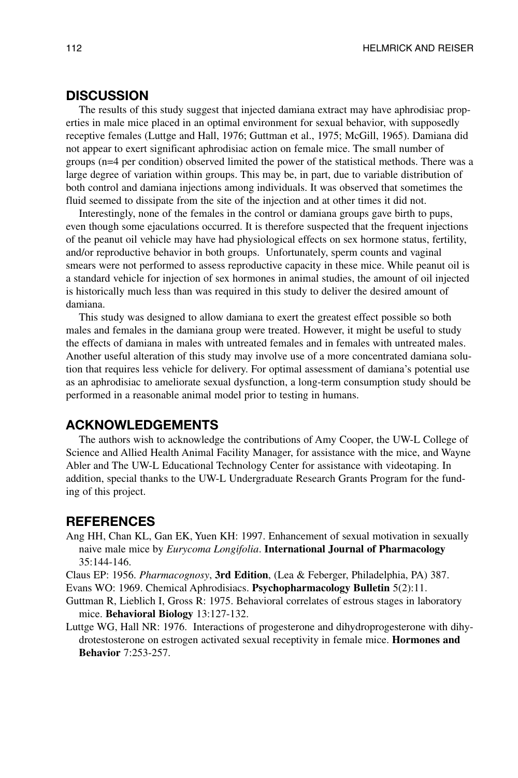## **DISCUSSION**

The results of this study suggest that injected damiana extract may have aphrodisiac properties in male mice placed in an optimal environment for sexual behavior, with supposedly receptive females (Luttge and Hall, 1976; Guttman et al., 1975; McGill, 1965). Damiana did not appear to exert significant aphrodisiac action on female mice. The small number of groups (n=4 per condition) observed limited the power of the statistical methods. There was a large degree of variation within groups. This may be, in part, due to variable distribution of both control and damiana injections among individuals. It was observed that sometimes the fluid seemed to dissipate from the site of the injection and at other times it did not.

Interestingly, none of the females in the control or damiana groups gave birth to pups, even though some ejaculations occurred. It is therefore suspected that the frequent injections of the peanut oil vehicle may have had physiological effects on sex hormone status, fertility, and/or reproductive behavior in both groups. Unfortunately, sperm counts and vaginal smears were not performed to assess reproductive capacity in these mice. While peanut oil is a standard vehicle for injection of sex hormones in animal studies, the amount of oil injected is historically much less than was required in this study to deliver the desired amount of damiana.

This study was designed to allow damiana to exert the greatest effect possible so both males and females in the damiana group were treated. However, it might be useful to study the effects of damiana in males with untreated females and in females with untreated males. Another useful alteration of this study may involve use of a more concentrated damiana solution that requires less vehicle for delivery. For optimal assessment of damiana's potential use as an aphrodisiac to ameliorate sexual dysfunction, a long-term consumption study should be performed in a reasonable animal model prior to testing in humans.

## **ACKNOWLEDGEMENTS**

The authors wish to acknowledge the contributions of Amy Cooper, the UW-L College of Science and Allied Health Animal Facility Manager, for assistance with the mice, and Wayne Abler and The UW-L Educational Technology Center for assistance with videotaping. In addition, special thanks to the UW-L Undergraduate Research Grants Program for the funding of this project.

#### **REFERENCES**

- Ang HH, Chan KL, Gan EK, Yuen KH: 1997. Enhancement of sexual motivation in sexually naive male mice by *Eurycoma Longifolia*. **International Journal of Pharmacology** 35:144-146.
- Claus EP: 1956. *Pharmacognosy*, **3rd Edition**, (Lea & Feberger, Philadelphia, PA) 387.
- Evans WO: 1969. Chemical Aphrodisiacs. **Psychopharmacology Bulletin** 5(2):11.
- Guttman R, Lieblich I, Gross R: 1975. Behavioral correlates of estrous stages in laboratory mice. **Behavioral Biology** 13:127-132.
- Luttge WG, Hall NR: 1976. Interactions of progesterone and dihydroprogesterone with dihydrotestosterone on estrogen activated sexual receptivity in female mice. **Hormones and Behavior** 7:253-257.